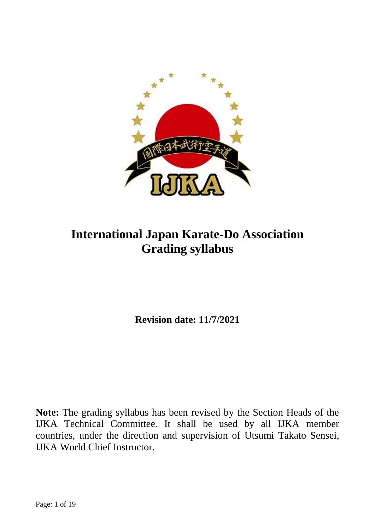

# **International Japan Karate-Do Association Grading syllabus**

**Revision date: 11/7/2021**

**Note:** The grading syllabus has been revised by the Section Heads of the IJKA Technical Committee. It shall be used by all IJKA member countries, under the direction and supervision of Utsumi Takato Sensei, IJKA World Chief Instructor.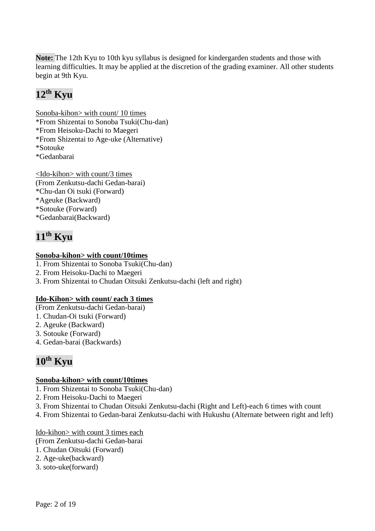**Note:** The 12th Kyu to 10th kyu syllabus is designed for kindergarden students and those with learning difficulties. It may be applied at the discretion of the grading examiner. All other students begin at 9th Kyu.

# **12 th Kyu**

Sonoba-kihon> with count/ 10 times \*From Shizentai to Sonoba Tsuki(Chu-dan) \*From Heisoku-Dachi to Maegeri \*From Shizentai to Age-uke (Alternative) \*Sotouke \*Gedanbarai

<Ido-kihon> with count/3 times (From Zenkutsu-dachi Gedan-barai) \*Chu-dan Oi tsuki (Forward) \*Ageuke (Backward) \*Sotouke (Forward) \*Gedanbarai(Backward)

# **11 th Kyu**

### **Sonoba-kihon> with count/10times**

- 1. From Shizentai to Sonoba Tsuki(Chu-dan)
- 2. From Heisoku-Dachi to Maegeri
- 3. From Shizentai to Chudan Oitsuki Zenkutsu-dachi (left and right)

## **Ido-Kihon> with count/ each 3 times**

- (From Zenkutsu-dachi Gedan-barai)
- 1. Chudan-Oi tsuki (Forward)
- 2. Ageuke (Backward)
- 3. Sotouke (Forward)
- 4. Gedan-barai (Backwards)

# **10 th Kyu**

#### **Sonoba-kihon> with count/10times**

- 1. From Shizentai to Sonoba Tsuki(Chu-dan)
- 2. From Heisoku-Dachi to Maegeri
- 3. From Shizentai to Chudan Oitsuki Zenkutsu-dachi (Right and Left)-each 6 times with count
- 4. From Shizentai to Gedan-barai Zenkutsu-dachi with Hukushu (Alternate between right and left)

## Ido-kihon> with count 3 times each

- (From Zenkutsu-dachi Gedan-barai
- 1. Chudan Oitsuki (Forward)
- 2. Age-uke(backward)
- 3. soto-uke(forward)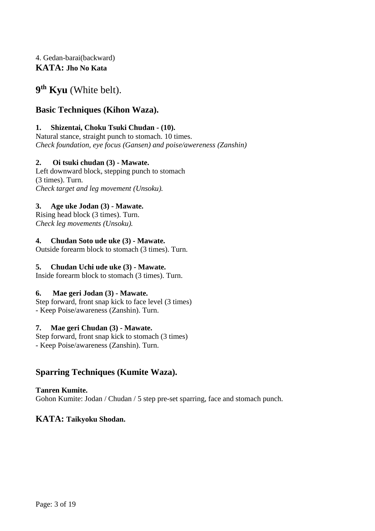## 4. Gedan-barai(backward) **KATA: Jho No Kata**

# **9 th Kyu** (White belt).

# **Basic Techniques (Kihon Waza).**

### **1. Shizentai, Choku Tsuki Chudan - (10).**

Natural stance, straight punch to stomach. 10 times. *Check foundation, eye focus (Gansen) and poise/awereness (Zanshin)*

## **2. Oi tsuki chudan (3) - Mawate.**

Left downward block, stepping punch to stomach (3 times). Turn. *Check target and leg movement (Unsoku).*

## **3. Age uke Jodan (3) - Mawate.**

Rising head block (3 times). Turn. *Check leg movements (Unsoku).*

### **4. Chudan Soto ude uke (3) - Mawate.**

Outside forearm block to stomach (3 times). Turn.

#### **5. Chudan Uchi ude uke (3) - Mawate.**

Inside forearm block to stomach (3 times). Turn.

#### **6. Mae geri Jodan (3) - Mawate.**

Step forward, front snap kick to face level (3 times) - Keep Poise/awareness (Zanshin). Turn.

#### **7. Mae geri Chudan (3) - Mawate.**

Step forward, front snap kick to stomach (3 times) - Keep Poise/awareness (Zanshin). Turn.

# **Sparring Techniques (Kumite Waza).**

#### **Tanren Kumite.**

Gohon Kumite: Jodan / Chudan / 5 step pre-set sparring, face and stomach punch.

## **KATA: Taikyoku Shodan.**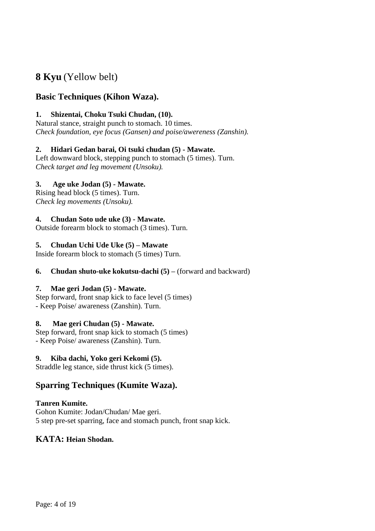# **8 Kyu** (Yellow belt)

# **Basic Techniques (Kihon Waza).**

### **1. Shizentai, Choku Tsuki Chudan, (10).**

Natural stance, straight punch to stomach. 10 times. *Check foundation, eye focus (Gansen) and poise/awereness (Zanshin).*

#### **2. Hidari Gedan barai, Oi tsuki chudan (5) - Mawate.**

Left downward block, stepping punch to stomach (5 times). Turn. *Check target and leg movement (Unsoku).*

### **3. Age uke Jodan (5) - Mawate.**

Rising head block (5 times). Turn. *Check leg movements (Unsoku).*

### **4. Chudan Soto ude uke (3) - Mawate.**

Outside forearm block to stomach (3 times). Turn.

#### **5. Chudan Uchi Ude Uke (5) – Mawate**

Inside forearm block to stomach (5 times) Turn.

#### **6. Chudan shuto-uke kokutsu-dachi (5) –** (forward and backward)

#### **7. Mae geri Jodan (5) - Mawate.**

Step forward, front snap kick to face level (5 times) - Keep Poise/ awareness (Zanshin). Turn.

#### **8. Mae geri Chudan (5) - Mawate.**

Step forward, front snap kick to stomach (5 times) - Keep Poise/ awareness (Zanshin). Turn.

#### **9. Kiba dachi, Yoko geri Kekomi (5).**

Straddle leg stance, side thrust kick (5 times).

## **Sparring Techniques (Kumite Waza).**

#### **Tanren Kumite.**

Gohon Kumite: Jodan/Chudan/ Mae geri. 5 step pre-set sparring, face and stomach punch, front snap kick.

## **KATA: Heian Shodan.**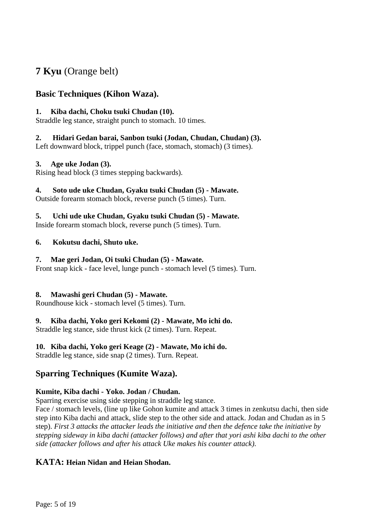# **7 Kyu** (Orange belt)

# **Basic Techniques (Kihon Waza).**

### **1. Kiba dachi, Choku tsuki Chudan (10).**

Straddle leg stance, straight punch to stomach. 10 times.

### **2. Hidari Gedan barai, Sanbon tsuki (Jodan, Chudan, Chudan) (3).**

Left downward block, trippel punch (face, stomach, stomach) (3 times).

### **3. Age uke Jodan (3).**

Rising head block (3 times stepping backwards).

### **4. Soto ude uke Chudan, Gyaku tsuki Chudan (5) - Mawate.**

Outside forearm stomach block, reverse punch (5 times). Turn.

# **5. Uchi ude uke Chudan, Gyaku tsuki Chudan (5) - Mawate.**

Inside forearm stomach block, reverse punch (5 times). Turn.

### **6. Kokutsu dachi, Shuto uke.**

### **7. Mae geri Jodan, Oi tsuki Chudan (5) - Mawate.**

Front snap kick - face level, lunge punch - stomach level (5 times). Turn.

#### **8. Mawashi geri Chudan (5) - Mawate.**

Roundhouse kick - stomach level (5 times). Turn.

## **9. Kiba dachi, Yoko geri Kekomi (2) - Mawate, Mo ichi do.**

Straddle leg stance, side thrust kick (2 times). Turn. Repeat.

## **10. Kiba dachi, Yoko geri Keage (2) - Mawate, Mo ichi do.**

Straddle leg stance, side snap (2 times). Turn. Repeat.

# **Sparring Techniques (Kumite Waza).**

## **Kumite, Kiba dachi - Yoko. Jodan / Chudan.**

Sparring exercise using side stepping in straddle leg stance.

Face / stomach levels, (line up like Gohon kumite and attack 3 times in zenkutsu dachi, then side step into Kiba dachi and attack, slide step to the other side and attack. Jodan and Chudan as in 5 step). *First 3 attacks the attacker leads the initiative and then the defence take the initiative by stepping sideway in kiba dachi (attacker follows) and after that yori ashi kiba dachi to the other side (attacker follows and after his attack Uke makes his counter attack).*

## **KATA: Heian Nidan and Heian Shodan.**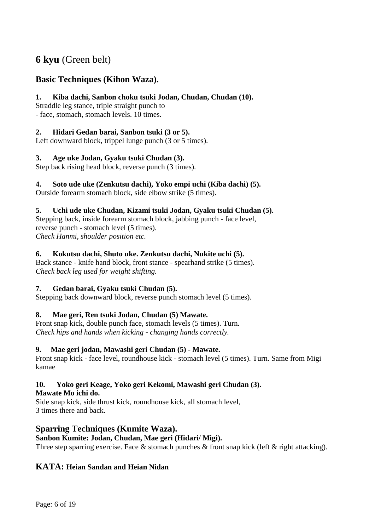# **6 kyu** (Green belt)

# **Basic Techniques (Kihon Waza).**

#### **1. Kiba dachi, Sanbon choku tsuki Jodan, Chudan, Chudan (10).**

Straddle leg stance, triple straight punch to

- face, stomach, stomach levels. 10 times.

#### **2. Hidari Gedan barai, Sanbon tsuki (3 or 5).**

Left downward block, trippel lunge punch (3 or 5 times).

#### **3. Age uke Jodan, Gyaku tsuki Chudan (3).**

Step back rising head block, reverse punch (3 times).

#### **4. Soto ude uke (Zenkutsu dachi), Yoko empi uchi (Kiba dachi) (5).**

Outside forearm stomach block, side elbow strike (5 times).

### **5. Uchi ude uke Chudan, Kizami tsuki Jodan, Gyaku tsuki Chudan (5).**

Stepping back, inside forearm stomach block, jabbing punch - face level, reverse punch - stomach level (5 times). *Check Hanmi, shoulder position etc.*

### **6. Kokutsu dachi, Shuto uke. Zenkutsu dachi, Nukite uchi (5).**

Back stance - knife hand block, front stance - spearhand strike (5 times). *Check back leg used for weight shifting.*

#### **7. Gedan barai, Gyaku tsuki Chudan (5).**

Stepping back downward block, reverse punch stomach level (5 times).

#### **8. Mae geri, Ren tsuki Jodan, Chudan (5) Mawate.**

Front snap kick, double punch face, stomach levels (5 times). Turn. *Check hips and hands when kicking - changing hands correctly.*

#### **9. Mae geri jodan, Mawashi geri Chudan (5) - Mawate.**

Front snap kick - face level, roundhouse kick - stomach level (5 times). Turn. Same from Migi kamae

# **10. Yoko geri Keage, Yoko geri Kekomi, Mawashi geri Chudan (3).**

#### **Mawate Mo ichi do.**

Side snap kick, side thrust kick, roundhouse kick, all stomach level, 3 times there and back.

# **Sparring Techniques (Kumite Waza).**

#### **Sanbon Kumite: Jodan, Chudan, Mae geri (Hidari/ Migi).**

Three step sparring exercise. Face & stomach punches & front snap kick (left & right attacking).

## **KATA: Heian Sandan and Heian Nidan**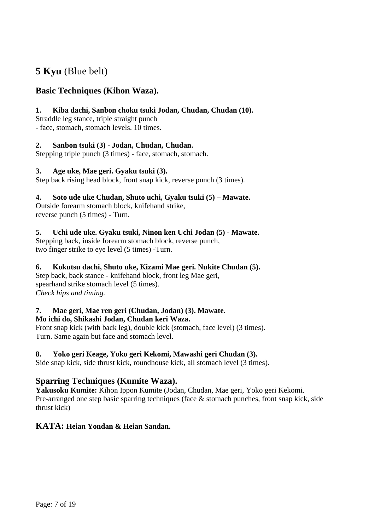# **5 Kyu** (Blue belt)

# **Basic Techniques (Kihon Waza).**

### **1. Kiba dachi, Sanbon choku tsuki Jodan, Chudan, Chudan (10).**

Straddle leg stance, triple straight punch - face, stomach, stomach levels. 10 times.

## **2. Sanbon tsuki (3) - Jodan, Chudan, Chudan.**

Stepping triple punch (3 times) - face, stomach, stomach.

#### **3. Age uke, Mae geri. Gyaku tsuki (3).**

Step back rising head block, front snap kick, reverse punch (3 times).

### **4. Soto ude uke Chudan, Shuto uchi, Gyaku tsuki (5) – Mawate.**

Outside forearm stomach block, knifehand strike, reverse punch (5 times) - Turn.

#### **5. Uchi ude uke. Gyaku tsuki, Ninon ken Uchi Jodan (5) - Mawate.**

Stepping back, inside forearm stomach block, reverse punch, two finger strike to eye level (5 times) -Turn.

#### **6. Kokutsu dachi, Shuto uke, Kizami Mae geri. Nukite Chudan (5).**

Step back, back stance - knifehand block, front leg Mae geri, spearhand strike stomach level (5 times). *Check hips and timing.*

# **7. Mae geri, Mae ren geri (Chudan, Jodan) (3). Mawate.**

#### **Mo ichi do, Shikashi Jodan, Chudan keri Waza.**

Front snap kick (with back leg), double kick (stomach, face level) (3 times). Turn. Same again but face and stomach level.

## **8. Yoko geri Keage, Yoko geri Kekomi, Mawashi geri Chudan (3).**

Side snap kick, side thrust kick, roundhouse kick, all stomach level (3 times).

# **Sparring Techniques (Kumite Waza).**

**Yakusoku Kumite:** Kihon Ippon Kumite (Jodan, Chudan, Mae geri, Yoko geri Kekomi. Pre-arranged one step basic sparring techniques (face & stomach punches, front snap kick, side thrust kick)

## **KATA: Heian Yondan & Heian Sandan.**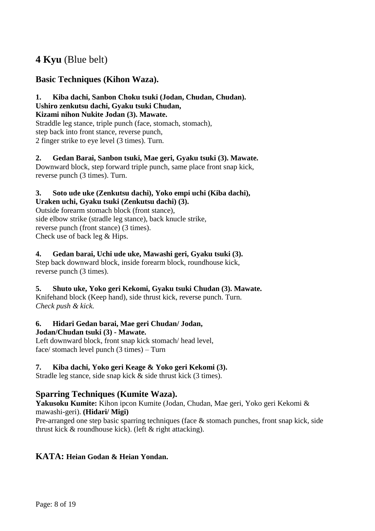# **4 Kyu** (Blue belt)

# **Basic Techniques (Kihon Waza).**

# **1. Kiba dachi, Sanbon Choku tsuki (Jodan, Chudan, Chudan).**

# **Ushiro zenkutsu dachi, Gyaku tsuki Chudan,**

**Kizami nihon Nukite Jodan (3). Mawate.**

Straddle leg stance, triple punch (face, stomach, stomach), step back into front stance, reverse punch, 2 finger strike to eye level (3 times). Turn.

**2. Gedan Barai, Sanbon tsuki, Mae geri, Gyaku tsuki (3). Mawate.** Downward block, step forward triple punch, same place front snap kick, reverse punch (3 times). Turn.

#### **3. Soto ude uke (Zenkutsu dachi), Yoko empi uchi (Kiba dachi), Uraken uchi, Gyaku tsuki (Zenkutsu dachi) (3).**

Outside forearm stomach block (front stance), side elbow strike (stradle leg stance), back knucle strike, reverse punch (front stance) (3 times). Check use of back leg & Hips.

## **4. Gedan barai, Uchi ude uke, Mawashi geri, Gyaku tsuki (3).**

Step back downward block, inside forearm block, roundhouse kick, reverse punch (3 times).

## **5. Shuto uke, Yoko geri Kekomi, Gyaku tsuki Chudan (3). Mawate.**

Knifehand block (Keep hand), side thrust kick, reverse punch. Turn. *Check push & kick.*

#### **6. Hidari Gedan barai, Mae geri Chudan/ Jodan, Jodan/Chudan tsuki (3) - Mawate.**

Left downward block, front snap kick stomach/ head level, face/ stomach level punch (3 times) – Turn

## **7. Kiba dachi, Yoko geri Keage & Yoko geri Kekomi (3).**

Stradle leg stance, side snap kick & side thrust kick (3 times).

# **Sparring Techniques (Kumite Waza).**

**Yakusoku Kumite:** Kihon ipcon Kumite (Jodan, Chudan, Mae geri, Yoko geri Kekomi & mawashi-geri). **(Hidari/ Migi)**

Pre-arranged one step basic sparring techniques (face & stomach punches, front snap kick, side thrust kick & roundhouse kick). (left & right attacking).

## **KATA: Heian Godan & Heian Yondan.**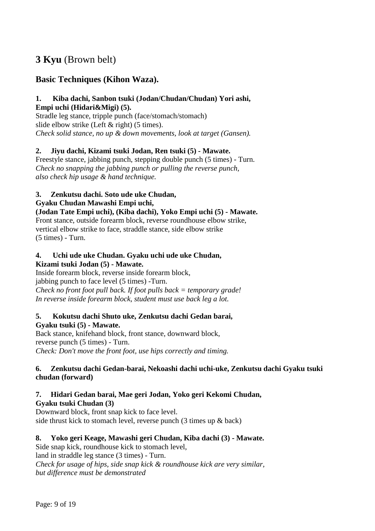# **3 Kyu** (Brown belt)

# **Basic Techniques (Kihon Waza).**

# **1. Kiba dachi, Sanbon tsuki (Jodan/Chudan/Chudan) Yori ashi,**

**Empi uchi (Hidari&Migi) (5).** Stradle leg stance, tripple punch (face/stomach/stomach) slide elbow strike (Left & right) (5 times). *Check solid stance, no up & down movements, look at target (Gansen).*

#### **2. Jiyu dachi, Kizami tsuki Jodan, Ren tsuki (5) - Mawate.**

Freestyle stance, jabbing punch, stepping double punch (5 times) - Turn. *Check no snapping the jabbing punch or pulling the reverse punch, also check hip usage & hand technique.*

#### **3. Zenkutsu dachi. Soto ude uke Chudan,**

#### **Gyaku Chudan Mawashi Empi uchi,**

**(Jodan Tate Empi uchi), (Kiba dachi), Yoko Empi uchi (5) - Mawate.** Front stance, outside forearm block, reverse roundhouse elbow strike,

vertical elbow strike to face, straddle stance, side elbow strike (5 times) - Turn.

#### **4. Uchi ude uke Chudan. Gyaku uchi ude uke Chudan, Kizami tsuki Jodan (5) - Mawate.**

Inside forearm block, reverse inside forearm block, jabbing punch to face level (5 times) -Turn. *Check no front foot pull back. If foot pulls back = temporary grade! In reverse inside forearm block, student must use back leg a lot.*

#### **5. Kokutsu dachi Shuto uke, Zenkutsu dachi Gedan barai, Gyaku tsuki (5) - Mawate.**

Back stance, knifehand block, front stance, downward block, reverse punch (5 times) - Turn. *Check: Don't move the front foot, use hips correctly and timing.*

#### **6. Zenkutsu dachi Gedan-barai, Nekoashi dachi uchi-uke, Zenkutsu dachi Gyaku tsuki chudan (forward)**

#### **7. Hidari Gedan barai, Mae geri Jodan, Yoko geri Kekomi Chudan, Gyaku tsuki Chudan (3)**

Downward block, front snap kick to face level. side thrust kick to stomach level, reverse punch (3 times up & back)

#### **8. Yoko geri Keage, Mawashi geri Chudan, Kiba dachi (3) - Mawate.**

Side snap kick, roundhouse kick to stomach level, land in straddle leg stance (3 times) - Turn. *Check for usage of hips, side snap kick & roundhouse kick are very similar, but difference must be demonstrated*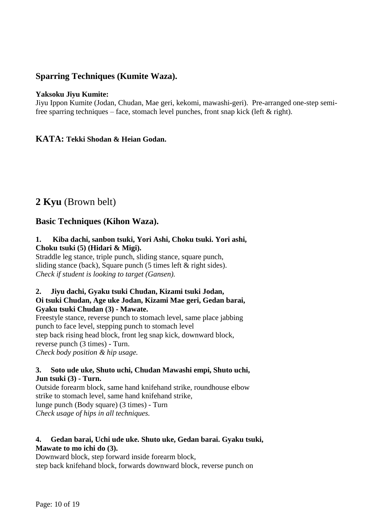# **Sparring Techniques (Kumite Waza).**

#### **Yaksoku Jiyu Kumite:**

Jiyu Ippon Kumite (Jodan, Chudan, Mae geri, kekomi, mawashi-geri). Pre-arranged one-step semifree sparring techniques – face, stomach level punches, front snap kick (left  $\&$  right).

#### **KATA: Tekki Shodan & Heian Godan.**

# **2 Kyu** (Brown belt)

# **Basic Techniques (Kihon Waza).**

#### **1. Kiba dachi, sanbon tsuki, Yori Ashi, Choku tsuki. Yori ashi, Choku tsuki (5) (Hidari & Migi).**

Straddle leg stance, triple punch, sliding stance, square punch, sliding stance (back), Square punch (5 times left & right sides). *Check if student is looking to target (Gansen).*

#### **2. Jiyu dachi, Gyaku tsuki Chudan, Kizami tsuki Jodan, Oi tsuki Chudan, Age uke Jodan, Kizami Mae geri, Gedan barai, Gyaku tsuki Chudan (3) - Mawate.**

Freestyle stance, reverse punch to stomach level, same place jabbing punch to face level, stepping punch to stomach level step back rising head block, front leg snap kick, downward block, reverse punch (3 times) - Turn. *Check body position & hip usage.*

#### **3. Soto ude uke, Shuto uchi, Chudan Mawashi empi, Shuto uchi, Jun tsuki (3) - Turn.**

Outside forearm block, same hand knifehand strike, roundhouse elbow strike to stomach level, same hand knifehand strike, lunge punch (Body square) (3 times) - Turn *Check usage of hips in all techniques.*

#### **4. Gedan barai, Uchi ude uke. Shuto uke, Gedan barai. Gyaku tsuki, Mawate to mo ichi do (3).**

Downward block, step forward inside forearm block, step back knifehand block, forwards downward block, reverse punch on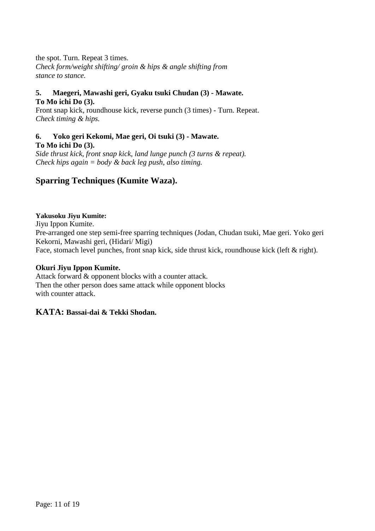the spot. Turn. Repeat 3 times. *Check form/weight shifting/ groin & hips & angle shifting from stance to stance.*

#### **5. Maegeri, Mawashi geri, Gyaku tsuki Chudan (3) - Mawate. To Mo ichi Do (3).**

Front snap kick, roundhouse kick, reverse punch (3 times) - Turn. Repeat. *Check timing & hips.*

# **6. Yoko geri Kekomi, Mae geri, Oi tsuki (3) - Mawate.**

**To Mo ichi Do (3).**

*Side thrust kick, front snap kick, land lunge punch (3 turns & repeat). Check hips again = body & back leg push, also timing.*

# **Sparring Techniques (Kumite Waza).**

#### **Yakusoku Jiyu Kumite:**

Jiyu Ippon Kumite. Pre-arranged one step semi-free sparring techniques (Jodan, Chudan tsuki, Mae geri. Yoko geri Kekorni, Mawashi geri, (Hidari/ Migi) Face, stomach level punches, front snap kick, side thrust kick, roundhouse kick (left & right).

#### **Okuri Jiyu Ippon Kumite.**

Attack forward & opponent blocks with a counter attack. Then the other person does same attack while opponent blocks with counter attack.

## **KATA: Bassai-dai & Tekki Shodan.**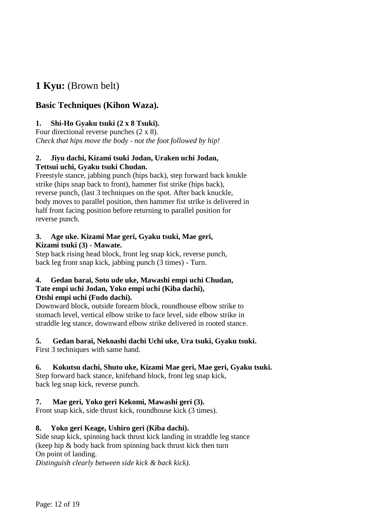# **1 Kyu:** (Brown belt)

# **Basic Techniques (Kihon Waza).**

## **1. Shi-Ho Gyaku tsuki (2 x 8 Tsuki).**

Four directional reverse punches (2 x 8). *Check that hips move the body - not the foot followed by hip!*

#### **2. Jiyu dachi, Kizami tsuki Jodan, Uraken uchi Jodan, Tettsui uchi, Gyaku tsuki Chudan.**

Freestyle stance, jabbing punch (hips back), step forward back knukle strike (hips snap back to front), hammer fist strike (hips back), reverse punch, (last 3 techniques on the spot. After back knuckle, body moves to parallel position, then hammer fist strike is delivered in half front facing position before returning to parallel position for reverse punch.

#### **3. Age uke. Kizami Mae geri, Gyaku tsuki, Mae geri, Kizami tsuki (3) - Mawate.**

Step back rising head block, front leg snap kick, reverse punch, back leg front snap kick, jabbing punch (3 times) - Turn.

#### **4. Gedan barai, Soto ude uke, Mawashi empi uchi Chudan, Tate empi uchi Jodan, Yoko empi uchi (Kiba dachi), Otshi empi uchi (Fudo dachi).**

Downward block, outside forearm block, roundhouse elbow strike to stomach level, vertical elbow strike to face level, side elbow strike in straddle leg stance, downward elbow strike delivered in rooted stance.

## **5. Gedan barai, Nekoashi dachi Uchi uke, Ura tsuki, Gyaku tsuki.**

First 3 techniques with same hand.

## **6. Kokutsu dachi, Shuto uke, Kizami Mae geri, Mae geri, Gyaku tsuki.**

Step forward back stance, knifehand block, front leg snap kick, back leg snap kick, reverse punch.

## **7. Mae geri, Yoko geri Kekomi, Mawashi geri (3).**

Front snap kick, side thrust kick, roundhouse kick (3 times).

## **8. Yoko geri Keage, Ushiro geri (Kiba dachi).**

Side snap kick, spinning back thrust kick landing in straddle leg stance (keep hip & body back from spinning back thrust kick then turn On point of landing.

*Distinguish clearly between side kick & back kick).*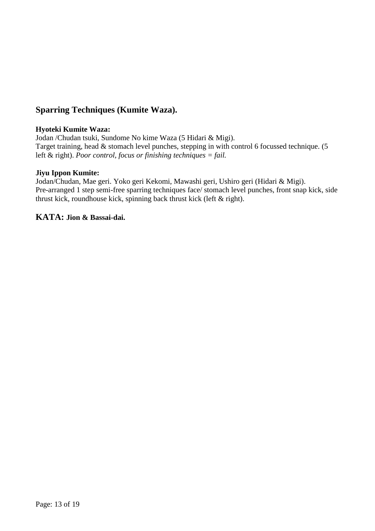# **Sparring Techniques (Kumite Waza).**

#### **Hyoteki Kumite Waza:**

Jodan /Chudan tsuki, Sundome No kime Waza (5 Hidari & Migi). Target training, head & stomach level punches, stepping in with control 6 focussed technique. (5 left & right). *Poor control, focus or finishing techniques = fail.*

#### **Jiyu Ippon Kumite:**

Jodan/Chudan, Mae geri. Yoko geri Kekomi, Mawashi geri, Ushiro geri (Hidari & Migi). Pre-arranged 1 step semi-free sparring techniques face/ stomach level punches, front snap kick, side thrust kick, roundhouse kick, spinning back thrust kick (left & right).

#### **KATA: Jion & Bassai-dai.**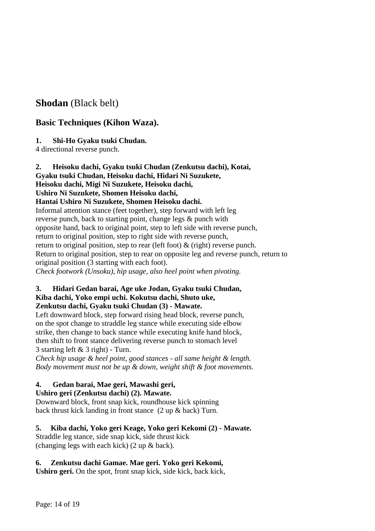# **Shodan** (Black belt)

# **Basic Techniques (Kihon Waza).**

## **1. Shi-Ho Gyaku tsuki Chudan.**

4 directional reverse punch.

**2. Heisoku dachi, Gyaku tsuki Chudan (Zenkutsu dachi), Kotai, Gyaku tsuki Chudan, Heisoku dachi, Hidari Ni Suzukete,** 

# **Heisoku dachi, Migi Ni Suzukete, Heisoku dachi,**

# **Ushiro Ni Suzukete, Shomen Heisoku dachi,**

### **Hantai Ushiro Ni Suzukete, Shomen Heisoku dachi.**

Informal attention stance (feet together), step forward with left leg reverse punch, back to starting point, change legs & punch with opposite hand, back to original point, step to left side with reverse punch, return to original position, step to right side with reverse punch, return to original position, step to rear (left foot) & (right) reverse punch. Return to original position, step to rear on opposite leg and reverse punch, return to original position (3 starting with each foot). *Check footwork (Unsoku), hip usage, also heel point when pivoting.*

#### **3. Hidari Gedan barai, Age uke Jodan, Gyaku tsuki Chudan, Kiba dachi, Yoko empi uchi. Kokutsu dachi, Shuto uke, Zenkutsu dachi, Gyaku tsuki Chudan (3) - Mawate.**

Left downward block, step forward rising head block, reverse punch, on the spot change to straddle leg stance while executing side elbow strike, then change to back stance while executing knife hand block, then shift to front stance delivering reverse punch to stomach level 3 starting left & 3 right) - Turn.

*Check hip usage & heel point, good stances - all same height & length. Body movement must not be up & down, weight shift & foot movements.*

# **4. Gedan barai, Mae geri, Mawashi geri,**

## **Ushiro geri (Zenkutsu dachi) (2). Mawate.**

Downward block, front snap kick, roundhouse kick spinning back thrust kick landing in front stance (2 up & back) Turn.

## **5. Kiba dachi, Yoko geri Keage, Yoko geri Kekomi (2) - Mawate.**

Straddle leg stance, side snap kick, side thrust kick (changing legs with each kick) (2 up & back).

## **6. Zenkutsu dachi Gamae. Mae geri. Yoko geri Kekomi,**

**Ushiro geri.** On the spot, front snap kick, side kick, back kick,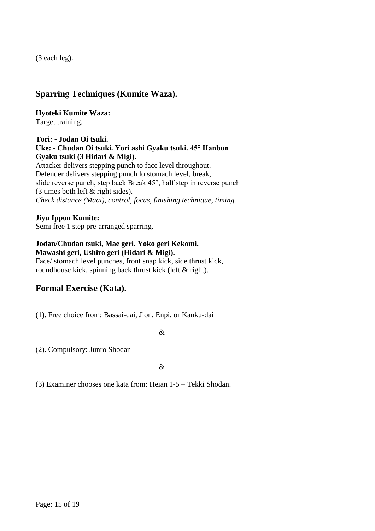(3 each leg).

# **Sparring Techniques (Kumite Waza).**

**Hyoteki Kumite Waza:**

Target training.

#### **Tori: - Jodan Oi tsuki. Uke: - Chudan Oi tsuki. Yori ashi Gyaku tsuki. 45° Hanbun Gyaku tsuki (3 Hidari & Migi).**

Attacker delivers stepping punch to face level throughout. Defender delivers stepping punch lo stomach level, break, slide reverse punch, step back Break 45°, half step in reverse punch (3 times both left & right sides). *Check distance (Maai), control, focus, finishing technique, timing.*

## **Jiyu Ippon Kumite:**

Semi free 1 step pre-arranged sparring.

#### **Jodan/Chudan tsuki, Mae geri. Yoko geri Kekomi. Mawashi geri, Ushiro geri (Hidari & Migi).**

Face/ stomach level punches, front snap kick, side thrust kick, roundhouse kick, spinning back thrust kick (left & right).

# **Formal Exercise (Kata).**

(1). Free choice from: Bassai-dai, Jion, Enpi, or Kanku-dai

&

(2). Compulsory: Junro Shodan

 $\mathcal{R}$ 

(3) Examiner chooses one kata from: Heian 1-5 – Tekki Shodan.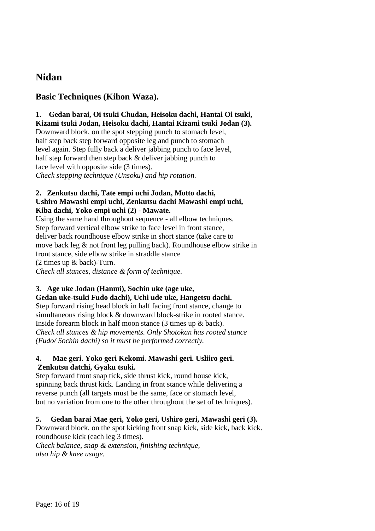# **Nidan**

# **Basic Techniques (Kihon Waza).**

**1. Gedan barai, Oi tsuki Chudan, Heisoku dachi, Hantai Oi tsuki, Kizami tsuki Jodan, Heisoku dachi, Hantai Kizami tsuki Jodan (3).**

Downward block, on the spot stepping punch to stomach level, half step back step forward opposite leg and punch to stomach level again. Step fully back a deliver jabbing punch to face level, half step forward then step back & deliver jabbing punch to face level with opposite side (3 times). *Check stepping technique (Unsoku) and hip rotation.*

#### **2. Zenkutsu dachi, Tate empi uchi Jodan, Motto dachi, Ushiro Mawashi empi uchi, Zenkutsu dachi Mawashi empi uchi, Kiba dachi, Yoko empi uchi (2) - Mawate.**

Using the same hand throughout sequence - all elbow techniques. Step forward vertical elbow strike to face level in front stance, deliver back roundhouse elbow strike in short stance (take care to move back leg & not front leg pulling back). Roundhouse elbow strike in front stance, side elbow strike in straddle stance (2 times up & back)-Turn. *Check all stances, distance & form of technique.*

# **3. Age uke Jodan (Hanmi), Sochin uke (age uke,**

**Gedan uke-tsuki Fudo dachi), Uchi ude uke, Hangetsu dachi.** Step forward rising head block in half facing front stance, change to simultaneous rising block & downward block-strike in rooted stance. Inside forearm block in half moon stance (3 times up & back). *Check all stances & hip movements. Only Shotokan has rooted stance (Fudo/ Sochin dachi) so it must be performed correctly.*

#### **4. Mae geri. Yoko geri Kekomi. Mawashi geri. Usliiro geri. Zenkutsu datchi, Gyaku tsuki.**

Step forward front snap tick, side thrust kick, round house kick, spinning back thrust kick. Landing in front stance while delivering a reverse punch (all targets must be the same, face or stomach level, but no variation from one to the other throughout the set of techniques).

## **5. Gedan barai Mae geri, Yoko geri, Ushiro geri, Mawashi geri (3).**

Downward block, on the spot kicking front snap kick, side kick, back kick. roundhouse kick (each leg 3 times).

*Check balance, snap & extension, finishing technique, also hip & knee usage.*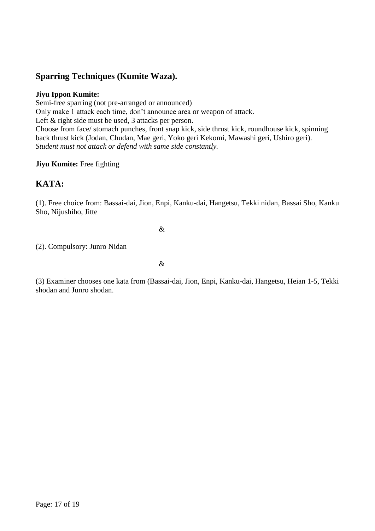# **Sparring Techniques (Kumite Waza).**

#### **Jiyu Ippon Kumite:**

Semi-free sparring (not pre-arranged or announced) Only make 1 attack each time, don't announce area or weapon of attack. Left & right side must be used, 3 attacks per person. Choose from face/ stomach punches, front snap kick, side thrust kick, roundhouse kick, spinning back thrust kick (Jodan, Chudan, Mae geri, Yoko geri Kekomi, Mawashi geri, Ushiro geri). *Student must not attack or defend with same side constantly.*

#### **Jiyu Kumite:** Free fighting

# **KATA:**

(1). Free choice from: Bassai-dai, Jion, Enpi, Kanku-dai, Hangetsu, Tekki nidan, Bassai Sho, Kanku Sho, Nijushiho, Jitte

&

(2). Compulsory: Junro Nidan

&

(3) Examiner chooses one kata from (Bassai-dai, Jion, Enpi, Kanku-dai, Hangetsu, Heian 1-5, Tekki shodan and Junro shodan.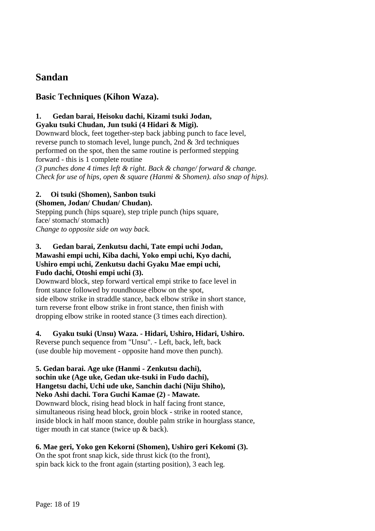# **Sandan**

# **Basic Techniques (Kihon Waza).**

#### **1. Gedan barai, Heisoku dachi, Kizami tsuki Jodan, Gyaku tsuki Chudan, Jun tsuki (4 Hidari & Migi).**

Downward block, feet together-step back jabbing punch to face level, reverse punch to stomach level, lunge punch, 2nd & 3rd techniques performed on the spot, then the same routine is performed stepping forward - this is 1 complete routine

*(3 punches done 4 times left & right. Back & change/ forward & change. Check for use of hips, open & square (Hanmi & Shomen). also snap of hips).*

# **2. Oi tsuki (Shomen), Sanbon tsuki**

# **(Shomen, Jodan/ Chudan/ Chudan).**

Stepping punch (hips square), step triple punch (hips square, face/ stomach/ stomach) *Change to opposite side on way back.*

#### **3. Gedan barai, Zenkutsu dachi, Tate empi uchi Jodan, Mawashi empi uchi, Kiba dachi, Yoko empi uchi, Kyo dachi, Ushiro empi uchi, Zenkutsu dachi Gyaku Mae empi uchi, Fudo dachi, Otoshi empi uchi (3).**

Downward block, step forward vertical empi strike to face level in front stance followed by roundhouse elbow on the spot, side elbow strike in straddle stance, back elbow strike in short stance, turn reverse front elbow strike in front stance, then finish with dropping elbow strike in rooted stance (3 times each direction).

#### **4. Gyaku tsuki (Unsu) Waza. - Hidari, Ushiro, Hidari, Ushiro.**

Reverse punch sequence from "Unsu". - Left, back, left, back (use double hip movement - opposite hand move then punch).

# **5. Gedan barai. Age uke (Hanmi - Zenkutsu dachi),**

# **sochin uke (Age uke, Gedan uke-tsuki in Fudo dachi),**

**Hangetsu dachi, Uchi ude uke, Sanchin dachi (Niju Shiho),** 

## **Neko Ashi dachi. Tora Guchi Kamae (2) - Mawate.**

Downward block, rising head block in half facing front stance, simultaneous rising head block, groin block - strike in rooted stance, inside block in half moon stance, double palm strike in hourglass stance, tiger mouth in cat stance (twice up & back).

## **6. Mae geri, Yoko gen Kekorni (Shomen), Ushiro geri Kekomi (3).**

On the spot front snap kick, side thrust kick (to the front), spin back kick to the front again (starting position), 3 each leg.